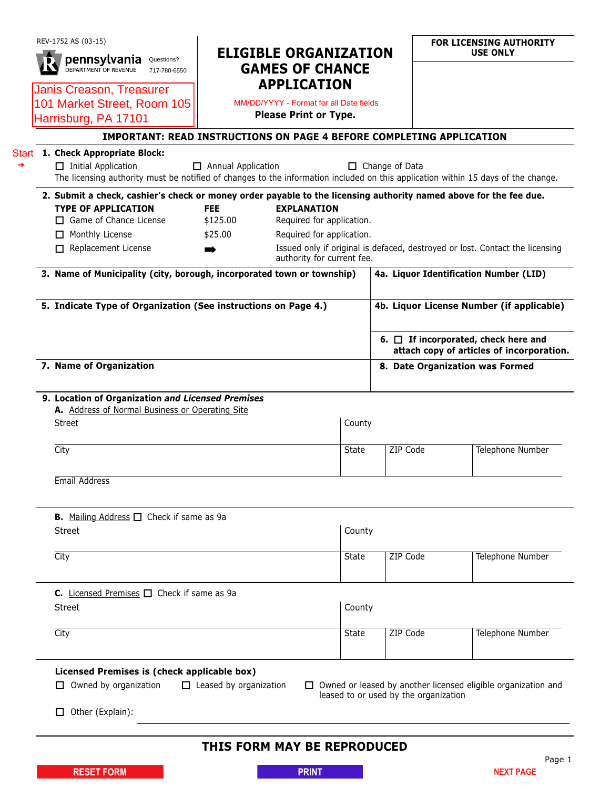| REV-1752 AS (03-15)<br>pennsylvania<br>Questions?<br><b>DEPARTMENT OF REVENUE</b><br>717-780-6550                                                               | <b>ELIGIBLE ORGANIZATION</b><br><b>GAMES OF CHANCE</b>        |                                                 |                       |  | <b>FOR LICENSING AUTHORITY</b><br><b>USE ONLY</b>                                      |
|-----------------------------------------------------------------------------------------------------------------------------------------------------------------|---------------------------------------------------------------|-------------------------------------------------|-----------------------|--|----------------------------------------------------------------------------------------|
| Janis Creason, Treasurer<br>101 Market Street, Room 105                                                                                                         | <b>APPLICATION</b><br>MM/DD/YYYY - Format for all Date fields |                                                 |                       |  |                                                                                        |
| Harrisburg, PA 17101                                                                                                                                            | Please Print or Type.                                         |                                                 |                       |  |                                                                                        |
| IMPORTANT: READ INSTRUCTIONS ON PAGE 4 BEFORE COMPLETING APPLICATION                                                                                            |                                                               |                                                 |                       |  |                                                                                        |
| Start 1. Check Appropriate Block:                                                                                                                               |                                                               |                                                 |                       |  |                                                                                        |
| $\Box$ Initial Application<br>The licensing authority must be notified of changes to the information included on this application within 15 days of the change. | Annual Application                                            |                                                 | $\Box$ Change of Data |  |                                                                                        |
| 2. Submit a check, cashier's check or money order payable to the licensing authority named above for the fee due.                                               |                                                               |                                                 |                       |  |                                                                                        |
| <b>TYPE OF APPLICATION</b><br>$\Box$ Game of Chance License                                                                                                     | <b>FEE</b><br>\$125.00                                        | <b>EXPLANATION</b><br>Required for application. |                       |  |                                                                                        |
| $\Box$ Monthly License                                                                                                                                          | \$25.00                                                       | Required for application.                       |                       |  |                                                                                        |
| $\Box$ Replacement License                                                                                                                                      |                                                               | authority for current fee.                      |                       |  | Issued only if original is defaced, destroyed or lost. Contact the licensing           |
| 3. Name of Municipality (city, borough, incorporated town or township)                                                                                          |                                                               |                                                 |                       |  | 4a. Liquor Identification Number (LID)                                                 |
| 5. Indicate Type of Organization (See instructions on Page 4.)                                                                                                  |                                                               |                                                 |                       |  | 4b. Liquor License Number (if applicable)                                              |
|                                                                                                                                                                 |                                                               |                                                 |                       |  | 6. $\Box$ If incorporated, check here and<br>attach copy of articles of incorporation. |
| 7. Name of Organization                                                                                                                                         |                                                               |                                                 |                       |  | 8. Date Organization was Formed                                                        |
| 9. Location of Organization and Licensed Premises<br>A. Address of Normal Business or Operating Site<br><b>Street</b>                                           |                                                               | County                                          |                       |  |                                                                                        |
| City                                                                                                                                                            |                                                               | State                                           | ZIP Code              |  | Telephone Number                                                                       |
| Email Address                                                                                                                                                   |                                                               |                                                 |                       |  |                                                                                        |
| <b>B.</b> Mailing Address $\Box$ Check if same as 9a                                                                                                            |                                                               |                                                 |                       |  |                                                                                        |
| <b>Street</b>                                                                                                                                                   |                                                               | County                                          |                       |  |                                                                                        |
| City                                                                                                                                                            |                                                               | <b>State</b>                                    | ZIP Code              |  | <b>Telephone Number</b>                                                                |
| C. Licensed Premises $\Box$ Check if same as 9a                                                                                                                 |                                                               |                                                 |                       |  |                                                                                        |
| Street                                                                                                                                                          |                                                               | County                                          |                       |  |                                                                                        |
| City                                                                                                                                                            |                                                               | <b>State</b>                                    | ZIP Code              |  | Telephone Number                                                                       |
| Licensed Premises is (check applicable box)                                                                                                                     |                                                               |                                                 |                       |  |                                                                                        |
| $\Box$ Owned by organization                                                                                                                                    | $\Box$ Leased by organization                                 | leased to or used by the organization           |                       |  | $\Box$ Owned or leased by another licensed eligible organization and                   |
| $\Box$ Other (Explain):                                                                                                                                         |                                                               |                                                 |                       |  |                                                                                        |
|                                                                                                                                                                 |                                                               | THIS FORM MAY BE REPRODUCED                     |                       |  |                                                                                        |
| <b>RESET FORM</b>                                                                                                                                               |                                                               | <b>PRINT</b>                                    |                       |  | Page 1<br><b>NEXT PAGE</b>                                                             |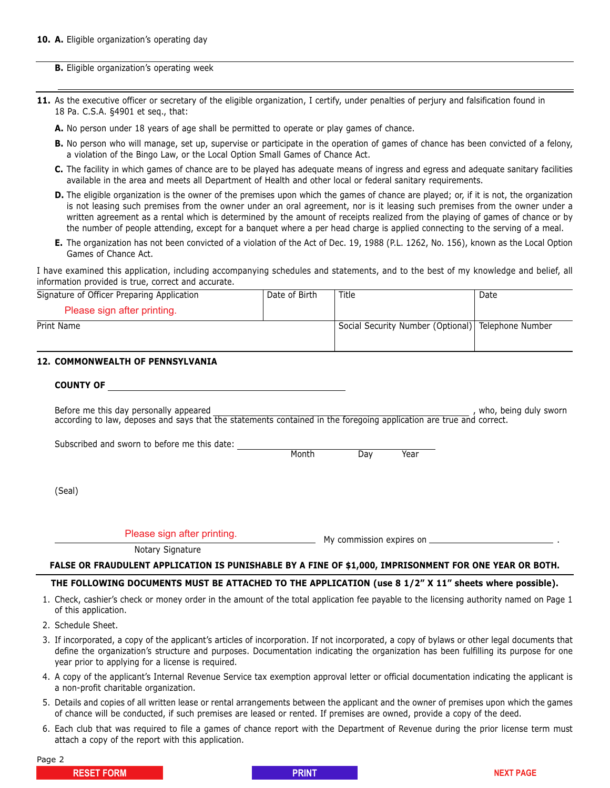**B.** Eligible organization's operating week

- **11.** As the executive officer or secretary of the eligible organization, I certify, under penalties of perjury and falsification found in 18 Pa. C.S.A. §4901 et seq., that:
	- **A.** No person under 18 years of age shall be permitted to operate or play games of chance.
	- **B.** No person who will manage, set up, supervise or participate in the operation of games of chance has been convicted of a felony, a violation of the Bingo Law, or the Local Option Small Games of Chance Act.
	- **C.** The facility in which games of chance are to be played has adequate means of ingress and egress and adequate sanitary facilities available in the area and meets all Department of Health and other local or federal sanitary requirements.
	- **D.** The eligible organization is the owner of the premises upon which the games of chance are played; or, if it is not, the organization is not leasing such premises from the owner under an oral agreement, nor is it leasing such premises from the owner under a written agreement as a rental which is determined by the amount of receipts realized from the playing of games of chance or by the number of people attending, except for a banquet where a per head charge is applied connecting to the serving of a meal.
	- **E.** The organization has not been convicted of a violation of the Act of Dec. 19, 1988 (P.L. 1262, No. 156), known as the Local Option Games of Chance Act.

I have examined this application, including accompanying schedules and statements, and to the best of my knowledge and belief, all information provided is true, correct and accurate.

| Signature of Officer Preparing Application | Date of Birth | Title                                              | Date |
|--------------------------------------------|---------------|----------------------------------------------------|------|
| Please sign after printing.                |               |                                                    |      |
| Print Name                                 |               | Social Security Number (Optional) Telephone Number |      |
|                                            |               |                                                    |      |

#### **12. COMMONWEALTH OF PENNSYLVANIA**

| <b>COUNTY OF</b> |  |
|------------------|--|
|------------------|--|

Before me this day personally appeared and the state of the state of the state of the state of the state of the state of the state of the state of the state of the state of the state of the state of the state of the state according to law, deposes and says that the statements contained in the foregoing application are true and correct.

Subscribed and sworn to before me this date: Month Day Year

(Seal)

Please sign after printing.

My commission expires on .

Notary Signature

#### **FALSE OR FRAUDULENT APPLICATION IS PUNISHABLE BY A FINE OF \$1,000, IMPRISONMENT FOR ONE YEAR OR BOTH.**

#### **THE FOLLOWING DOCUMENTS MUST BE ATTACHED TO THE APPLICATION (use 8 1/2" X 11" sheets where possible).**

- 1. Check, cashier's check or money order in the amount of the total application fee payable to the licensing authority named on Page 1 of this application.
- 2. Schedule Sheet.
- 3. If incorporated, a copy of the applicant's articles of incorporation. If not incorporated, a copy of bylaws or other legal documents that define the organization's structure and purposes. Documentation indicating the organization has been fulfilling its purpose for one year prior to applying for a license is required.
- 4. A copy of the applicant's Internal Revenue Service tax exemption approval letter or official documentation indicating the applicant is a non-profit charitable organization.
- 5. Details and copies of all written lease or rental arrangements between the applicant and the owner of premises upon which the games of chance will be conducted, if such premises are leased or rented. If premises are owned, provide a copy of the deed.
- 6. Each club that was required to file a games of chance report with the Department of Revenue during the prior license term must attach a copy of the report with this application.

Page 2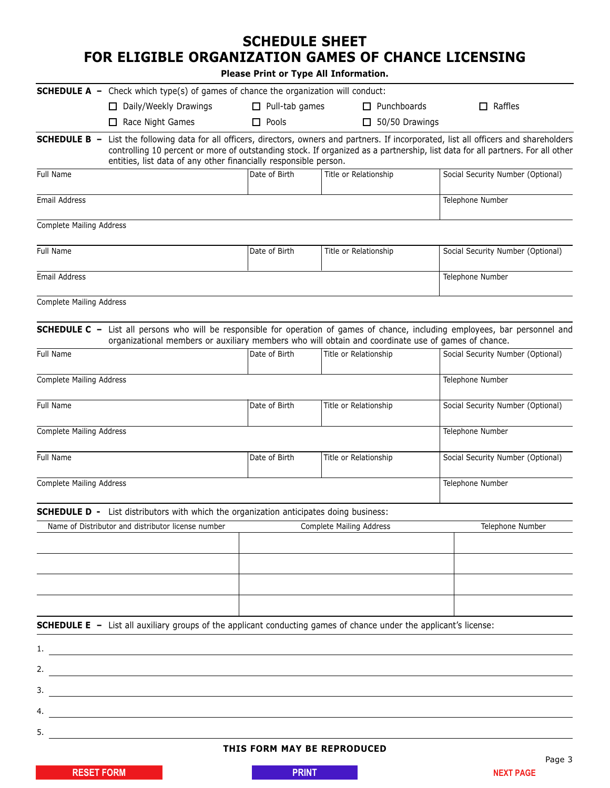## **SCHEDULE SHEET FOR ELIGIBLE ORGANIZATION GAMES OF CHANCE LICENSING**

**Please Print or Type All Information.**

|                                 | <b>SCHEDULE A</b> - Check which type(s) of games of chance the organization will conduct:                                                                                                                                            |                                                                                                                                                                                                                                                                |                                 |                                   |  |
|---------------------------------|--------------------------------------------------------------------------------------------------------------------------------------------------------------------------------------------------------------------------------------|----------------------------------------------------------------------------------------------------------------------------------------------------------------------------------------------------------------------------------------------------------------|---------------------------------|-----------------------------------|--|
|                                 | $\Box$ Daily/Weekly Drawings                                                                                                                                                                                                         | $\Box$ Pull-tab games                                                                                                                                                                                                                                          | $\Box$ Punchboards              | $\Box$ Raffles                    |  |
|                                 | Race Night Games                                                                                                                                                                                                                     | $\Box$ Pools                                                                                                                                                                                                                                                   | $\Box$ 50/50 Drawings           |                                   |  |
| <b>SCHEDULE B -</b>             | entities, list data of any other financially responsible person.                                                                                                                                                                     | List the following data for all officers, directors, owners and partners. If incorporated, list all officers and shareholders<br>controlling 10 percent or more of outstanding stock. If organized as a partnership, list data for all partners. For all other |                                 |                                   |  |
| Full Name                       |                                                                                                                                                                                                                                      | Date of Birth                                                                                                                                                                                                                                                  | Title or Relationship           | Social Security Number (Optional) |  |
| Email Address                   |                                                                                                                                                                                                                                      |                                                                                                                                                                                                                                                                |                                 | Telephone Number                  |  |
| <b>Complete Mailing Address</b> |                                                                                                                                                                                                                                      |                                                                                                                                                                                                                                                                |                                 |                                   |  |
| Full Name                       |                                                                                                                                                                                                                                      | Date of Birth                                                                                                                                                                                                                                                  | Title or Relationship           | Social Security Number (Optional) |  |
| Email Address                   |                                                                                                                                                                                                                                      |                                                                                                                                                                                                                                                                |                                 | Telephone Number                  |  |
| Complete Mailing Address        |                                                                                                                                                                                                                                      |                                                                                                                                                                                                                                                                |                                 |                                   |  |
|                                 | SCHEDULE C - List all persons who will be responsible for operation of games of chance, including employees, bar personnel and<br>organizational members or auxiliary members who will obtain and coordinate use of games of chance. |                                                                                                                                                                                                                                                                |                                 |                                   |  |
| Full Name                       |                                                                                                                                                                                                                                      | Date of Birth                                                                                                                                                                                                                                                  | Title or Relationship           | Social Security Number (Optional) |  |
| <b>Complete Mailing Address</b> |                                                                                                                                                                                                                                      |                                                                                                                                                                                                                                                                |                                 | Telephone Number                  |  |
| Full Name                       |                                                                                                                                                                                                                                      | Date of Birth                                                                                                                                                                                                                                                  | Title or Relationship           | Social Security Number (Optional) |  |
| <b>Complete Mailing Address</b> |                                                                                                                                                                                                                                      |                                                                                                                                                                                                                                                                |                                 | Telephone Number                  |  |
| <b>Full Name</b>                |                                                                                                                                                                                                                                      | Date of Birth                                                                                                                                                                                                                                                  | Title or Relationship           | Social Security Number (Optional) |  |
|                                 | Complete Mailing Address                                                                                                                                                                                                             |                                                                                                                                                                                                                                                                |                                 | Telephone Number                  |  |
|                                 | <b>SCHEDULE D -</b> List distributors with which the organization anticipates doing business:                                                                                                                                        |                                                                                                                                                                                                                                                                |                                 |                                   |  |
|                                 | Name of Distributor and distributor license number                                                                                                                                                                                   |                                                                                                                                                                                                                                                                | <b>Complete Mailing Address</b> | Telephone Number                  |  |
|                                 |                                                                                                                                                                                                                                      |                                                                                                                                                                                                                                                                |                                 |                                   |  |
|                                 |                                                                                                                                                                                                                                      |                                                                                                                                                                                                                                                                |                                 |                                   |  |
|                                 |                                                                                                                                                                                                                                      |                                                                                                                                                                                                                                                                |                                 |                                   |  |
|                                 | <b>SCHEDULE E</b> - List all auxiliary groups of the applicant conducting games of chance under the applicant's license:                                                                                                             |                                                                                                                                                                                                                                                                |                                 |                                   |  |
| 1.                              |                                                                                                                                                                                                                                      |                                                                                                                                                                                                                                                                |                                 |                                   |  |
| 2.                              | <u> 1989 - Johann Stein, fransk politik (f. 1989)</u>                                                                                                                                                                                |                                                                                                                                                                                                                                                                |                                 |                                   |  |
| 3.                              |                                                                                                                                                                                                                                      |                                                                                                                                                                                                                                                                |                                 |                                   |  |
| 4.                              |                                                                                                                                                                                                                                      |                                                                                                                                                                                                                                                                |                                 |                                   |  |
| 5.                              |                                                                                                                                                                                                                                      |                                                                                                                                                                                                                                                                |                                 |                                   |  |

#### **THIS FORM MAY BE REPRODUCED**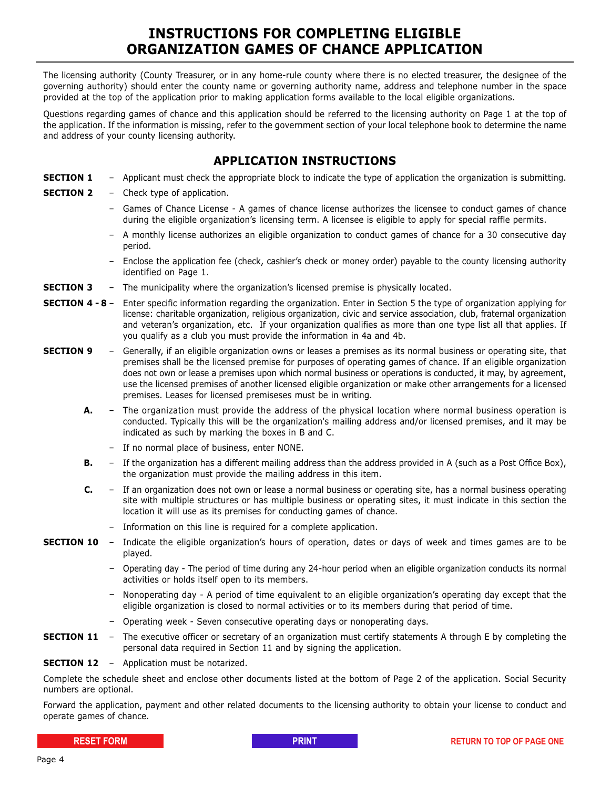## **INSTRUCTIONS FOR COMPLETING ELIGIBLE ORGANIZATION GAMES OF CHANCE APPLICATION**

The licensing authority (County Treasurer, or in any home-rule county where there is no elected treasurer, the designee of the governing authority) should enter the county name or governing authority name, address and telephone number in the space provided at the top of the application prior to making application forms available to the local eligible organizations.

Questions regarding games of chance and this application should be referred to the licensing authority on Page 1 at the top of the application. If the information is missing, refer to the government section of your local telephone book to determine the name and address of your county licensing authority.

### **APPLICATION INSTRUCTIONS**

- **SECTION 1** Applicant must check the appropriate block to indicate the type of application the organization is submitting.
- **SECTION 2** Check type of application.
	- Games of Chance License A games of chance license authorizes the licensee to conduct games of chance during the eligible organization's licensing term. A licensee is eligible to apply for special raffle permits.
	- A monthly license authorizes an eligible organization to conduct games of chance for a 30 consecutive day period.
	- Enclose the application fee (check, cashier's check or money order) payable to the county licensing authority identified on Page 1.
- **SECTION 3** The municipality where the organization's licensed premise is physically located.
- **SECTION 4 8** Enter specific information regarding the organization. Enter in Section 5 the type of organization applying for license: charitable organization, religious organization, civic and service association, club, fraternal organization and veteran's organization, etc. If your organization qualifies as more than one type list all that applies. If you qualify as a club you must provide the information in 4a and 4b.
- **SECTION 9** Generally, if an eligible organization owns or leases a premises as its normal business or operating site, that premises shall be the licensed premise for purposes of operating games of chance. If an eligible organization does not own or lease a premises upon which normal business or operations is conducted, it may, by agreement, use the licensed premises of another licensed eligible organization or make other arrangements for a licensed premises. Leases for licensed premiseses must be in writing.
	- **A.** The organization must provide the address of the physical location where normal business operation is conducted. Typically this will be the organization's mailing address and/or licensed premises, and it may be indicated as such by marking the boxes in B and C.
		- If no normal place of business, enter NONE.
	- **B.** If the organization has a different mailing address than the address provided in A (such as a Post Office Box), the organization must provide the mailing address in this item.
	- **C.** If an organization does not own or lease a normal business or operating site, has a normal business operating site with multiple structures or has multiple business or operating sites, it must indicate in this section the location it will use as its premises for conducting games of chance.
		- Information on this line is required for a complete application.
- **SECTION 10** Indicate the eligible organization's hours of operation, dates or days of week and times games are to be played.
	- Operating day The period of time during any 24-hour period when an eligible organization conducts its normal activities or holds itself open to its members.
	- Nonoperating day A period of time equivalent to an eligible organization's operating day except that the eligible organization is closed to normal activities or to its members during that period of time.
	- Operating week Seven consecutive operating days or nonoperating days.
- **SECTION 11** The executive officer or secretary of an organization must certify statements A through E by completing the personal data required in Section 11 and by signing the application.
- **SECTION 12** Application must be notarized.

Complete the schedule sheet and enclose other documents listed at the bottom of Page 2 of the application. Social Security numbers are optional.

Forward the application, payment and other related documents to the licensing authority to obtain your license to conduct and operate games of chance.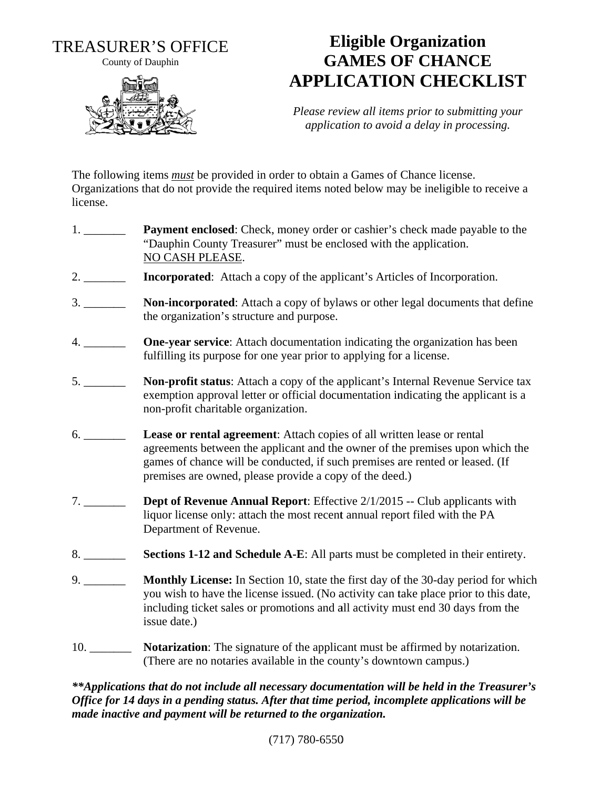**TREASURER'S OFFICE** 

County of Dauphin



## **Eligible Organization GAMES OF CHANCE APPLICATION CHECKLIST**

Please review all items prior to submitting your application to avoid a delay in processing.

The following items *must* be provided in order to obtain a Games of Chance license. Organizations that do not provide the required items noted below may be ineligible to receive a license.

- Payment enclosed: Check, money order or cashier's check made payable to the "Dauphin County Treasurer" must be enclosed with the application. NO CASH PLEASE.
- **Incorporated:** Attach a copy of the applicant's Articles of Incorporation.
- $3.$ **Non-incorporated:** Attach a copy of bylaws or other legal documents that define the organization's structure and purpose.
- **One-year service:** Attach documentation indicating the organization has been fulfilling its purpose for one year prior to applying for a license.
- **Non-profit status:** Attach a copy of the applicant's Internal Revenue Service tax exemption approval letter or official documentation indicating the applicant is a non-profit charitable organization.
- Lease or rental agreement: Attach copies of all written lease or rental agreements between the applicant and the owner of the premises upon which the games of chance will be conducted, if such premises are rented or leased. (If premises are owned, please provide a copy of the deed.)
- **Dept of Revenue Annual Report:** Effective 2/1/2015 -- Club applicants with  $7.$ liquor license only: attach the most recent annual report filed with the PA Department of Revenue.
- Sections 1-12 and Schedule A-E: All parts must be completed in their entirety.  $8.$
- $9.$ **Monthly License:** In Section 10, state the first day of the 30-day period for which you wish to have the license issued. (No activity can take place prior to this date, including ticket sales or promotions and all activity must end 30 days from the issue date.)
- **Notarization:** The signature of the applicant must be affirmed by notarization.  $10.$ (There are no notaries available in the county's downtown campus.)

\*\*Applications that do not include all necessary documentation will be held in the Treasurer's Office for 14 days in a pending status. After that time period, incomplete applications will be made inactive and payment will be returned to the organization.

 $(717) 780 - 6550$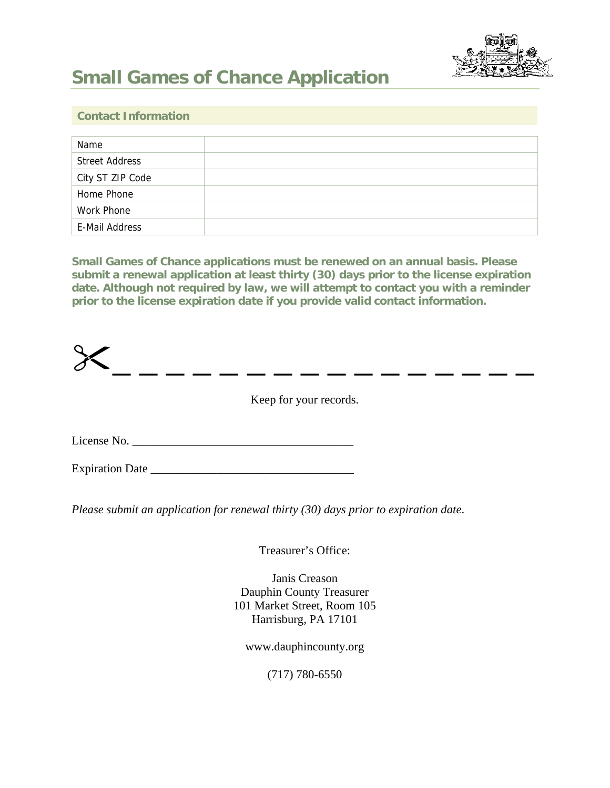

# **Small Games of Chance Application**

#### **Contact Information**

| Name                  |  |
|-----------------------|--|
| <b>Street Address</b> |  |
| City ST ZIP Code      |  |
| Home Phone            |  |
| Work Phone            |  |
| E-Mail Address        |  |

**Small Games of Chance applications must be renewed on an annual basis. Please submit a renewal application at least thirty (30) days prior to the license expiration date. Although not required by law, we will attempt to contact you with a reminder prior to the license expiration date if you provide valid contact information.** 

 $\frac{1}{\sqrt{2}}$   $\frac{1}{\sqrt{2}}$   $\frac{1}{\sqrt{2}}$   $\frac{1}{\sqrt{2}}$   $\frac{1}{\sqrt{2}}$   $\frac{1}{\sqrt{2}}$   $\frac{1}{\sqrt{2}}$   $\frac{1}{\sqrt{2}}$   $\frac{1}{\sqrt{2}}$   $\frac{1}{\sqrt{2}}$   $\frac{1}{\sqrt{2}}$   $\frac{1}{\sqrt{2}}$   $\frac{1}{\sqrt{2}}$   $\frac{1}{\sqrt{2}}$   $\frac{1}{\sqrt{2}}$   $\frac{1}{\sqrt{2}}$   $\frac{1}{\sqrt{2}}$  License No. \_\_\_\_\_\_\_\_\_\_\_\_\_\_\_\_\_\_\_\_\_\_\_\_\_\_\_\_\_\_\_\_\_\_\_\_\_

Expiration Date \_\_\_\_\_\_\_\_\_\_\_\_\_\_\_\_\_\_\_\_\_\_\_\_\_\_\_\_\_\_\_\_\_\_

*Please submit an application for renewal thirty (30) days prior to expiration date*.

Treasurer's Office:

Janis Creason Dauphin County Treasurer 101 Market Street, Room 105 Harrisburg, PA 17101

www.dauphincounty.org

(717) 780-6550